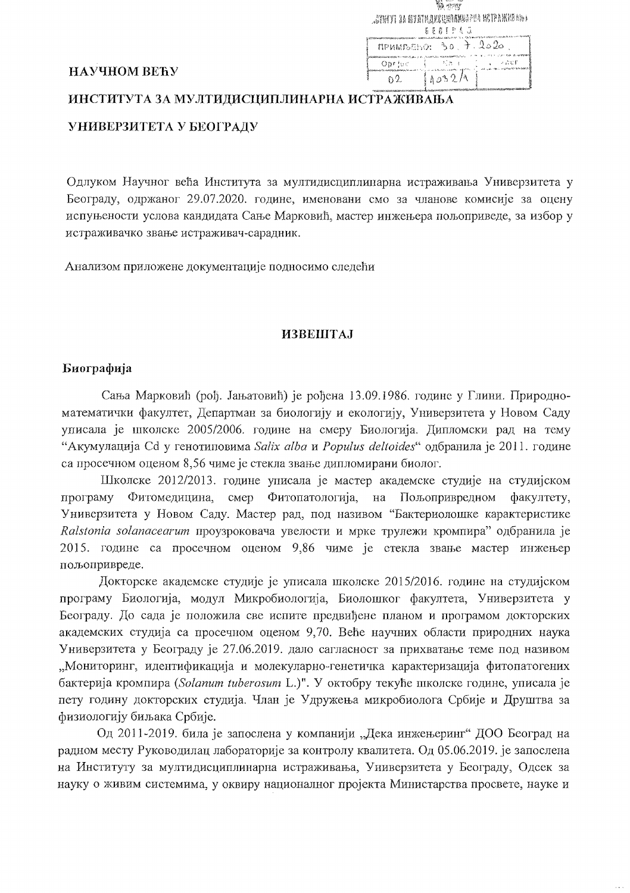| H. senno                 |       |                                                 |
|--------------------------|-------|-------------------------------------------------|
|                          |       | <b>JETMYI 3A NYETHARELRINKEERIA KETPAKKEANA</b> |
| 肯曼肖圭尼意 辽                 |       |                                                 |
| $n$ PUMPSESO: 30. 7.2020 |       |                                                 |
| Opr∃oc                   | 一般点の  | ニーン こくじず                                        |
|                          | 1032A |                                                 |

#### НАУЧНОМ ВЕЋУ

# ИНСТИТУТА ЗА МУЛТИДИСЦИПЛИНАРНА ИСТРАЖИВАЊА

# УНИВЕРЗИТЕТА У БЕОГРАДУ

Одлуком Научног већа Института за мултидисциплинарна истраживања Универзитета у Београду, одржаног 29.07.2020. године, именовани смо за чланове комисије за оцену испуњености услова кандидата Сање Марковић, мастер инжењера пољоприведе, за избор у истраживачко звање истраживач-сарадник.

Анализом приложене документације подносимо следећи

# **ИЗВЕШТАJ**

#### Биографија

Сања Марковић (рођ. Јањатовић) је рођена 13.09.1986. године у Глини. Природноматематички факултет, Департман за биологију и екологију, Универзитета у Новом Саду уписала је школске 2005/2006. године на смеру Биологија. Дипломски рад на тему "Акумулација Сd у генотиповима Salix alba и Populus deltoides" одбранила је 2011. године са просечном оценом 8,56 чиме је стекла звање дипломирани биолог.

Школске 2012/2013. године уписала је мастер академске студије на студијском Фитомелицина, смер Фитопатологија, на Пољопривредном програму факултету. Универзитета у Новом Саду. Мастер рад, под називом "Бактериолошке карактеристике Ralstonia solanacearum проузроковача увелости и мрке трулежи кромпира" одбранила је 2015. године са просечном оценом 9,86 чиме је стекла звање мастер инжењер пољопривреде.

Докторске академске студије је уписала школске 2015/2016. године на студијском програму Биологија, модул Микробиологија, Биолошког факултета, Универзитета у Београду. До сада је положила све испите предвиђене планом и програмом докторских академских студија са просечном оценом 9,70. Веће научних области природних наука Универзитета у Београду је 27.06.2019. дало сагласност за прихватање теме под називом "Мониторинг, идентификација и молекуларно-генетичка карактеризација фитопатогених бактерија кромпира (Solanum tuberosum L.)". У октобру текуће школске године, уписала је пету годину докторских студија. Члан је Удружења микробиолога Србије и Друштва за физиологију биљака Србије.

Од 2011-2019. била је запослена у компанији "Дека инжењеринг" ДОО Београд на радном месту Руководилац лабораторије за контролу квалитета. Од 05.06.2019. је запослена на Институту за мултидисциплинарна истраживања, Универзитета у Београду, Одсек за науку о живим системима, у оквиру националног пројекта Министарства просвете, науке и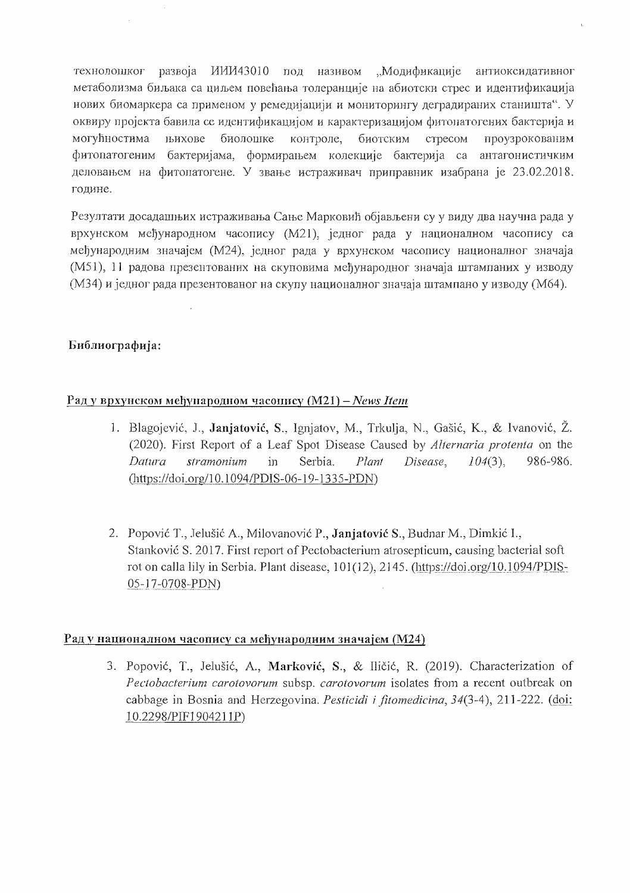технолошког развоја ИИИ43010 под називом "Модификације антиоксилативног метаболизма биљака са циљем повећања толеранције на абиотски стрес и идентификација нових биомаркера са применом у ремедијацији и мониторингу деградираних станишта". У оквиру пројекта бавила се идентификацијом и карактеризацијом фитонатогених бактерија и могућностима њихове биолошке контроле, биотским проузрокованим стресом фитопатогеним бактеријама, формирањем колекције бактерија са антагонистичким деловањем на фитопатогене. У звање истраживач приправник изабрана је 23.02.2018. године.

Резултати досадашњих истраживања Сање Марковић објављени су у виду два научна рада у врхунском међународном часопису (М21), једног рада у националном часопису са међународним значајем (М24), једног рада у врхунском часопису националног значаја (M51), 11 радова презентованих на скуповима међународног значаја штампаних у изводу (М34) и једног рада презентованог на скупу националног значаја штампано у изводу (М64).

# Библиографија:

 $\bar{z}$ 

# Рад у врхунском међународном часопису (М21) - News Item

- 1. Blagojević, J., Janjatović, S., Ignjatov, M., Trkulja, N., Gašić, K., & Ivanović, Ž. (2020). First Report of a Leaf Spot Disease Caused by Alternaria protenta on the  $104(3)$ , Datura stramonium in Serbia. Disease. 986-986. Plant (https://doi.org/10.1094/PDIS-06-19-1335-PDN)
- 2. Popović T., Jelušić A., Milovanović P., Janjatović S., Budnar M., Dimkić I., Stanković S. 2017. First report of Pectobacterium atrosepticum, causing bacterial soft rot on calla lily in Serbia. Plant disease, 101(12), 2145. (https://doi.org/10.1094/PDIS-05-17-0708-PDN)

#### Раду националном часопису са међународним значајем (М24)

3. Popović, T., Jelušić, A., Marković, S., & Iličić, R. (2019). Characterization of Pectobacterium carotovorum subsp. carotovorum isolates from a recent outbreak on cabbage in Bosnia and Herzegovina. *Pesticidi i fitomedicina*, 34(3-4), 211-222. (doi: 10.2298/PIF1904211P)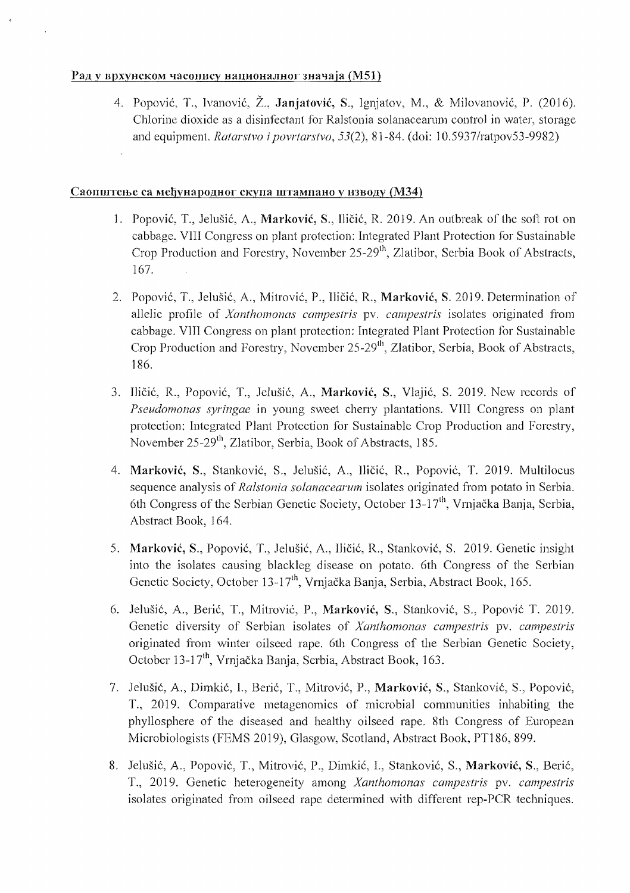## Рад у врхунском часопису националног значаја (М51)

4. Popović, T., Ivanović, Ž., Janjatović, S., Ignjatov, M., & Milovanović, P. (2016). Chlorine dioxide as a disinfectant for Ralstonia solanacearum control in water, storage and equipment. Ratarstvo i povrtarstvo, 53(2), 81-84. (doi: 10.5937/ratpov53-9982)

## Саопштење са међународног скупа штампано у изводу (МЗ4)

- 1. Popović, T., Jelušić, A., Marković, S., Iličić, R. 2019. An outbreak of the soft rot on cabbage. VIII Congress on plant protection: Integrated Plant Protection for Sustainable Crop Production and Forestry, November 25-29<sup>th</sup>, Zlatibor, Serbia Book of Abstracts, 167.
- 2. Popović, T., Jelušić, A., Mitrović, P., Iličić, R., Marković, S. 2019. Determination of allelic profile of Xanthomonas campestris pv. campestris isolates originated from cabbage. VIII Congress on plant protection: Integrated Plant Protection for Sustainable Crop Production and Forestry, November 25-29<sup>th</sup>, Zlatibor, Serbia, Book of Abstracts, 186.
- 3. Iličić, R., Popović, T., Jelušić, A., Marković, S., Vlajić, S. 2019. New records of Pseudomonas syringae in young sweet cherry plantations. VIII Congress on plant protection: Integrated Plant Protection for Sustainable Crop Production and Forestry, November 25-29<sup>th</sup>, Zlatibor, Serbia, Book of Abstracts, 185.
- 4. Marković, S., Stanković, S., Jelušić, A., Iličić, R., Popović, T. 2019. Multilocus sequence analysis of Ralstonia solanacearum isolates originated from potato in Serbia. 6th Congress of the Serbian Genetic Society, October 13-17<sup>th</sup>, Vrniačka Bania, Serbia. Abstract Book, 164.
- 5. Marković, S., Popović, T., Jelušić, A., Iličić, R., Stanković, S. 2019. Genetic insight into the isolates causing blackleg disease on potato. 6th Congress of the Serbian Genetic Society, October 13-17<sup>th</sup>, Vrnjačka Banja, Serbia, Abstract Book, 165.
- 6. Jelušić, A., Berić, T., Mitrović, P., Marković, S., Stanković, S., Popović T. 2019. Genetic diversity of Serbian isolates of Xanthomonas campestris py. campestris originated from winter oilseed rape. 6th Congress of the Serbian Genetic Society, October 13-17<sup>th</sup>, Vrnjačka Banja, Serbia, Abstract Book, 163.
- 7. Jelušić, A., Dimkić, I., Berić, T., Mitrović, P., Marković, S., Stanković, S., Popović, T., 2019. Comparative metagenomics of microbial communities inhabiting the phyllosphere of the diseased and healthy oilseed rape. 8th Congress of European Microbiologists (FEMS 2019), Glasgow, Scotland, Abstract Book, PT186, 899.
- 8. Jelušić, A., Popović, T., Mitrović, P., Dimkić, I., Stanković, S., Marković, S., Berić, T., 2019. Genetic heterogeneity among Xanthomonas campestris pv. campestris isolates originated from oilseed rape determined with different rep-PCR techniques.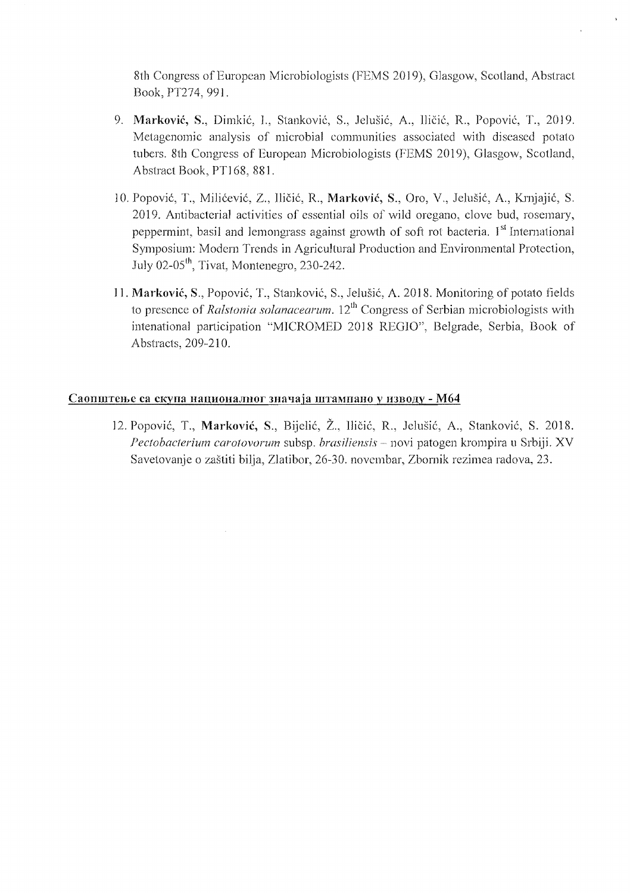8th Congress of European Microbiologists (FEMS 2019), Glasgow, Scotland, Abstract Book, PT274, 991.

- 9. **Marković, S., Dimkić, I., Stanković, S., Jelušić, A., Iličić, R., Popović, T., 2019.** Metagenomic analysis of microbial communities associated with diseased potato tubers. 8th Congress of European Microbiologists (FEMS 2019), Glasgow, Scotland, Abstract Book, PT168, 881.
- 10. Popovic, T., Milicevic, Z., IliCic, R., **Markovic,** S., Oro, V., Jelusic, A, Krnjajic, S. 2019. Antibacterial activities of essential oils of wild oregano, clove bud, rosemary, peppermint, basil and lemongrass against growth of soft rot bacteria. I<sup>st</sup> International Symposium: Modern Trends in Agricultural Production and Environmental Protection, July 02-05<sup>th</sup>, Tivat, Montenegro, 230-242.
- **11. Markovic,** S., Popovic, T., Stankovic, S., Jelusie, A. 2018. Monitoring of potato fields to presence of *Ralstonia solanacearum.* 12<sup>th</sup> Congress of Serbian microbiologists with intenational participation "MICROMED 2018 REGIO", Belgrade, Serbia, Book of Abstracts, 209-210.

#### Саопштење са скупа националног значаја штампано у изводу - М64

12. Popović, T., Marković, S., Bijelić, Ž., Iličić, R., Jelušić, A., Stanković, S. 2018. Pectobacterium carotovorum subsp. *brasiliensis* - novi patogen krompira u Srbiji. XV Savetovanje 0 zastiti bilja, Zlatibor, 26-30. novcmbar, Zbornik rezimea radova, 23.